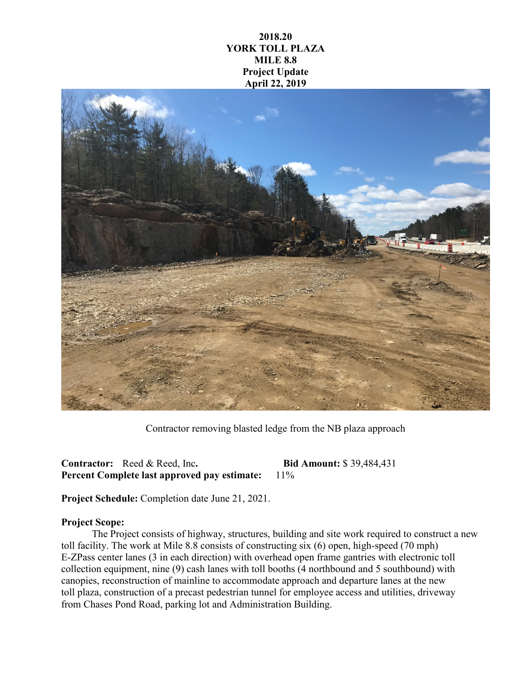## **2018.20 YORK TOLL PLAZA MILE 8.8 Project Update April 22, 2019**



Contractor removing blasted ledge from the NB plaza approach

**Contractor:** Reed & Reed, Inc**. Bid Amount:** \$ 39,484,431 **Percent Complete last approved pay estimate:** 11%

**Project Schedule:** Completion date June 21, 2021.

## **Project Scope:**

The Project consists of highway, structures, building and site work required to construct a new toll facility. The work at Mile 8.8 consists of constructing six (6) open, high-speed (70 mph) E-ZPass center lanes (3 in each direction) with overhead open frame gantries with electronic toll collection equipment, nine (9) cash lanes with toll booths (4 northbound and 5 southbound) with canopies, reconstruction of mainline to accommodate approach and departure lanes at the new toll plaza, construction of a precast pedestrian tunnel for employee access and utilities, driveway from Chases Pond Road, parking lot and Administration Building.